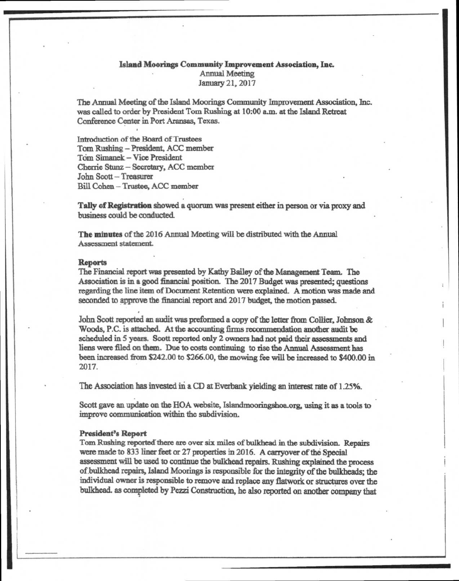# Island Moorings Community Improvement Association, Inc. Annual Meeting January 21, 2017

The Annual Meeting of the Island Moorings Community Improvement Association, Inc. was called to order by President Tom Rushing at 10:00 a.m. at the Island Retreat Conference Center in Port Aransas, Texas.

Introduction of the Board of Trustees Tom Rushing — President, ACC member Tom Simanek — Vice President Cherrie Stunz — Secretary, ACC member John Scott — Treasurer Bill Cohen — Trustee, ACC member

**Tally of Registration** showed a quorum was present either in person or via proxy and business could be conducted.

**The minutes** of the 2016 Annual Meeting will be distributed with the Annual Assessment statement.

### **Reports**

The Financial report was presented by Kathy Bailey of the Management Team. The Association is in a good financial position. The 2017 Budget was presented; questions regarding the line item of Document Retention were explained. A motion was made and seconded to approve the financial report and 2017 budget, the motion passed.

John Scott reported an audit was preformed a copy of the letter from Collier, Johnson & Woods, P.C. is attached. At the accounting firms recommendation another audit be scheduled in 5 years. Scott reported only 2 owners had not paid their assessments and liens were filed on them. Due to costs continuing to rise the Annual Assessment has been increased from \$242.00 to \$266.00, the mowing fee will be increased to \$400.00 in 2017.

The Association has invested in a CD at Everbank yielding an interest rate of 1.25%.

Scott gave an update on the HOA website, Islandmooringshoa.org, using it as a tools to improve communication within the subdivision.

#### **President's Report**

Tom Rushing reported there are over six miles of bulkhead in the subdivision. Repairs were made to 833 liner feet or 27 properties in 2016. A carryover of the Special assessment will be used to continue the bulkhead repairs. Rushing explained the process of bulkhead repairs, Island Moorings is responsible for the integrity of the bulkheads; the individual owner is responsible to remove and replace any flatwork or structures over the bulkhead. *as* completed by Pezzi Construction, he also reported on another company that